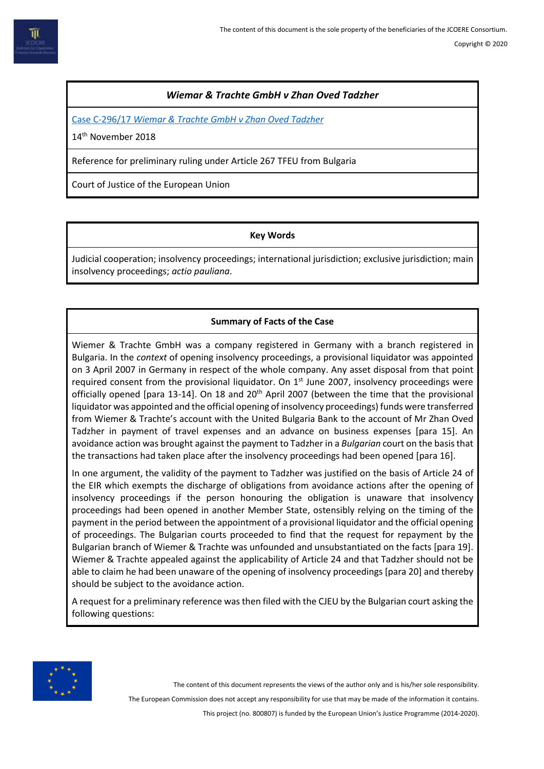# *Wiemar & Trachte GmbH v Zhan Oved Tadzher*

Case C-296/17 *[Wiemar & Trachte GmbH v Zhan Oved Tadzher](http://curia.europa.eu/juris/document/document.jsf?text=&docid=207743&pageIndex=0&doclang=en&mode=lst&dir=&occ=first&part=1&cid=8146474)*

14<sup>th</sup> November 2018

Reference for preliminary ruling under Article 267 TFEU from Bulgaria

Court of Justice of the European Union

## **Key Words**

Judicial cooperation; insolvency proceedings; international jurisdiction; exclusive jurisdiction; main insolvency proceedings; *actio pauliana*.

# **Summary of Facts of the Case**

Wiemer & Trachte GmbH was a company registered in Germany with a branch registered in Bulgaria. In the *context* of opening insolvency proceedings, a provisional liquidator was appointed on 3 April 2007 in Germany in respect of the whole company. Any asset disposal from that point required consent from the provisional liquidator. On  $1<sup>st</sup>$  June 2007, insolvency proceedings were officially opened [para 13-14]. On 18 and 20<sup>th</sup> April 2007 (between the time that the provisional liquidator was appointed and the official opening of insolvency proceedings) funds were transferred from Wiemer & Trachte's account with the United Bulgaria Bank to the account of Mr Zhan Oved Tadzher in payment of travel expenses and an advance on business expenses [para 15]. An avoidance action was brought against the payment to Tadzher in a *Bulgarian* court on the basis that the transactions had taken place after the insolvency proceedings had been opened [para 16].

In one argument, the validity of the payment to Tadzher was justified on the basis of Article 24 of the EIR which exempts the discharge of obligations from avoidance actions after the opening of insolvency proceedings if the person honouring the obligation is unaware that insolvency proceedings had been opened in another Member State, ostensibly relying on the timing of the payment in the period between the appointment of a provisional liquidator and the official opening of proceedings. The Bulgarian courts proceeded to find that the request for repayment by the Bulgarian branch of Wiemer & Trachte was unfounded and unsubstantiated on the facts [para 19]. Wiemer & Trachte appealed against the applicability of Article 24 and that Tadzher should not be able to claim he had been unaware of the opening of insolvency proceedings [para 20] and thereby should be subject to the avoidance action.

A request for a preliminary reference was then filed with the CJEU by the Bulgarian court asking the following questions:



The content of this document represents the views of the author only and is his/her sole responsibility.

The European Commission does not accept any responsibility for use that may be made of the information it contains.

This project (no. 800807) is funded by the European Union's Justice Programme (2014-2020).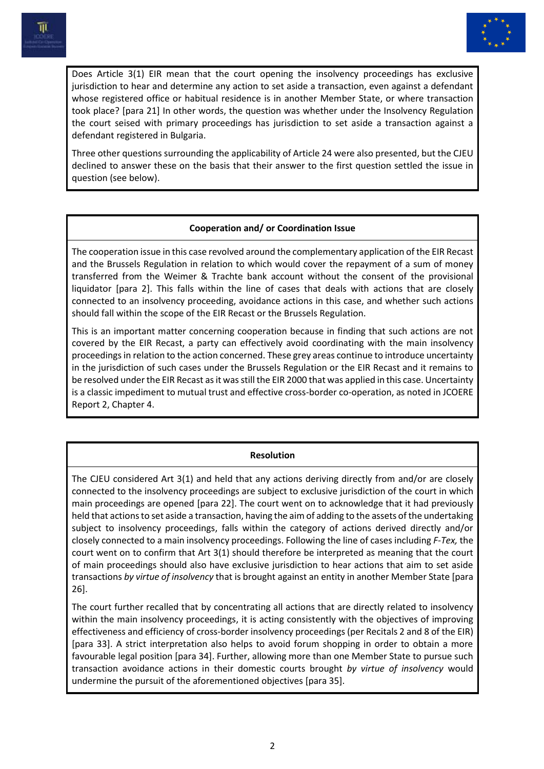



Does Article 3(1) EIR mean that the court opening the insolvency proceedings has exclusive jurisdiction to hear and determine any action to set aside a transaction, even against a defendant whose registered office or habitual residence is in another Member State, or where transaction took place? [para 21] In other words, the question was whether under the Insolvency Regulation the court seised with primary proceedings has jurisdiction to set aside a transaction against a defendant registered in Bulgaria.

Three other questions surrounding the applicability of Article 24 were also presented, but the CJEU declined to answer these on the basis that their answer to the first question settled the issue in question (see below).

## **Cooperation and/ or Coordination Issue**

The cooperation issue in this case revolved around the complementary application of the EIR Recast and the Brussels Regulation in relation to which would cover the repayment of a sum of money transferred from the Weimer & Trachte bank account without the consent of the provisional liquidator [para 2]. This falls within the line of cases that deals with actions that are closely connected to an insolvency proceeding, avoidance actions in this case, and whether such actions should fall within the scope of the EIR Recast or the Brussels Regulation.

This is an important matter concerning cooperation because in finding that such actions are not covered by the EIR Recast, a party can effectively avoid coordinating with the main insolvency proceedings in relation to the action concerned. These grey areas continue to introduce uncertainty in the jurisdiction of such cases under the Brussels Regulation or the EIR Recast and it remains to be resolved under the EIR Recast as it was still the EIR 2000 that was applied in this case. Uncertainty is a classic impediment to mutual trust and effective cross-border co-operation, as noted in JCOERE Report 2, Chapter 4.

#### **Resolution**

The CJEU considered Art 3(1) and held that any actions deriving directly from and/or are closely connected to the insolvency proceedings are subject to exclusive jurisdiction of the court in which main proceedings are opened [para 22]. The court went on to acknowledge that it had previously held that actions to set aside a transaction, having the aim of adding to the assets of the undertaking subject to insolvency proceedings, falls within the category of actions derived directly and/or closely connected to a main insolvency proceedings. Following the line of cases including *F-Tex,* the court went on to confirm that Art 3(1) should therefore be interpreted as meaning that the court of main proceedings should also have exclusive jurisdiction to hear actions that aim to set aside transactions *by virtue of insolvency* that is brought against an entity in another Member State [para 26].

The court further recalled that by concentrating all actions that are directly related to insolvency within the main insolvency proceedings, it is acting consistently with the objectives of improving effectiveness and efficiency of cross-border insolvency proceedings (per Recitals 2 and 8 of the EIR) [para 33]. A strict interpretation also helps to avoid forum shopping in order to obtain a more favourable legal position [para 34]. Further, allowing more than one Member State to pursue such transaction avoidance actions in their domestic courts brought *by virtue of insolvency* would undermine the pursuit of the aforementioned objectives [para 35].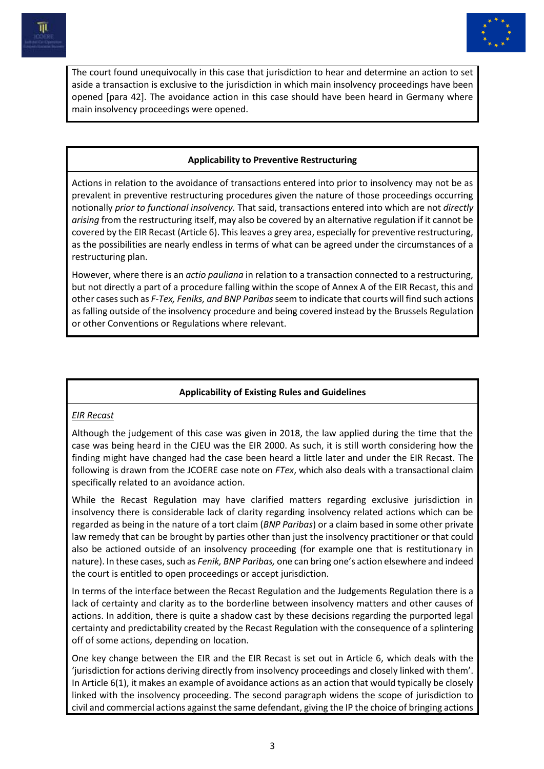



The court found unequivocally in this case that jurisdiction to hear and determine an action to set aside a transaction is exclusive to the jurisdiction in which main insolvency proceedings have been opened [para 42]. The avoidance action in this case should have been heard in Germany where main insolvency proceedings were opened.

## **Applicability to Preventive Restructuring**

Actions in relation to the avoidance of transactions entered into prior to insolvency may not be as prevalent in preventive restructuring procedures given the nature of those proceedings occurring notionally *prior to functional insolvency.* That said, transactions entered into which are not *directly arising* from the restructuring itself, may also be covered by an alternative regulation if it cannot be covered by the EIR Recast (Article 6). This leaves a grey area, especially for preventive restructuring, as the possibilities are nearly endless in terms of what can be agreed under the circumstances of a restructuring plan.

However, where there is an *actio pauliana* in relation to a transaction connected to a restructuring, but not directly a part of a procedure falling within the scope of Annex A of the EIR Recast, this and other cases such as *F-Tex, Feniks, and BNP Paribas*seem to indicate that courts will find such actions as falling outside of the insolvency procedure and being covered instead by the Brussels Regulation or other Conventions or Regulations where relevant.

#### **Applicability of Existing Rules and Guidelines**

## *EIR Recast*

Although the judgement of this case was given in 2018, the law applied during the time that the case was being heard in the CJEU was the EIR 2000. As such, it is still worth considering how the finding might have changed had the case been heard a little later and under the EIR Recast. The following is drawn from the JCOERE case note on *FTex*, which also deals with a transactional claim specifically related to an avoidance action.

While the Recast Regulation may have clarified matters regarding exclusive jurisdiction in insolvency there is considerable lack of clarity regarding insolvency related actions which can be regarded as being in the nature of a tort claim (*BNP Paribas*) or a claim based in some other private law remedy that can be brought by parties other than just the insolvency practitioner or that could also be actioned outside of an insolvency proceeding (for example one that is restitutionary in nature). In these cases, such as *Fenik, BNP Paribas,* one can bring one's action elsewhere and indeed the court is entitled to open proceedings or accept jurisdiction.

In terms of the interface between the Recast Regulation and the Judgements Regulation there is a lack of certainty and clarity as to the borderline between insolvency matters and other causes of actions. In addition, there is quite a shadow cast by these decisions regarding the purported legal certainty and predictability created by the Recast Regulation with the consequence of a splintering off of some actions, depending on location.

One key change between the EIR and the EIR Recast is set out in Article 6, which deals with the 'jurisdiction for actions deriving directly from insolvency proceedings and closely linked with them'. In Article 6(1), it makes an example of avoidance actions as an action that would typically be closely linked with the insolvency proceeding. The second paragraph widens the scope of jurisdiction to civil and commercial actions against the same defendant, giving the IP the choice of bringing actions